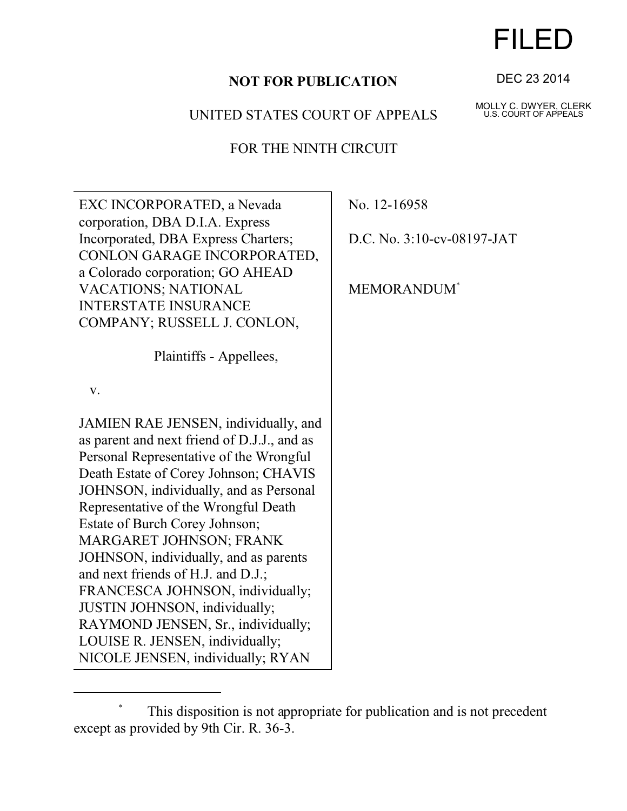## **NOT FOR PUBLICATION**

## UNITED STATES COURT OF APPEALS

## FOR THE NINTH CIRCUIT

| EXC INCORPORATED, a Nevada<br>corporation, DBA D.I.A. Express      | No. 12-16958                   |
|--------------------------------------------------------------------|--------------------------------|
| Incorporated, DBA Express Charters;<br>CONLON GARAGE INCORPORATED, | D.C. No. 3:10-cv-08197-JAT     |
| a Colorado corporation; GO AHEAD                                   |                                |
| VACATIONS; NATIONAL                                                | <b>MEMORANDUM</b> <sup>*</sup> |
| <b>INTERSTATE INSURANCE</b>                                        |                                |
| COMPANY; RUSSELL J. CONLON,                                        |                                |
| Plaintiffs - Appellees,                                            |                                |
| V.                                                                 |                                |
| JAMIEN RAE JENSEN, individually, and                               |                                |
| as parent and next friend of D.J.J., and as                        |                                |
| Personal Representative of the Wrongful                            |                                |
| Death Estate of Corey Johnson; CHAVIS                              |                                |
| JOHNSON, individually, and as Personal                             |                                |
| Representative of the Wrongful Death                               |                                |
| <b>Estate of Burch Corey Johnson;</b>                              |                                |
| MARGARET JOHNSON; FRANK                                            |                                |
| JOHNSON, individually, and as parents                              |                                |
| and next friends of H.J. and D.J.;                                 |                                |
| FRANCESCA JOHNSON, individually;                                   |                                |
| JUSTIN JOHNSON, individually;                                      |                                |
| RAYMOND JENSEN, Sr., individually;                                 |                                |
| LOUISE R. JENSEN, individually;                                    |                                |
| NICOLE JENSEN, individually; RYAN                                  |                                |

## \* This disposition is not appropriate for publication and is not precedent except as provided by 9th Cir. R. 36-3.

DEC 23 2014

FILED

MOLLY C. DWYER, CLERK U.S. COURT OF APPEALS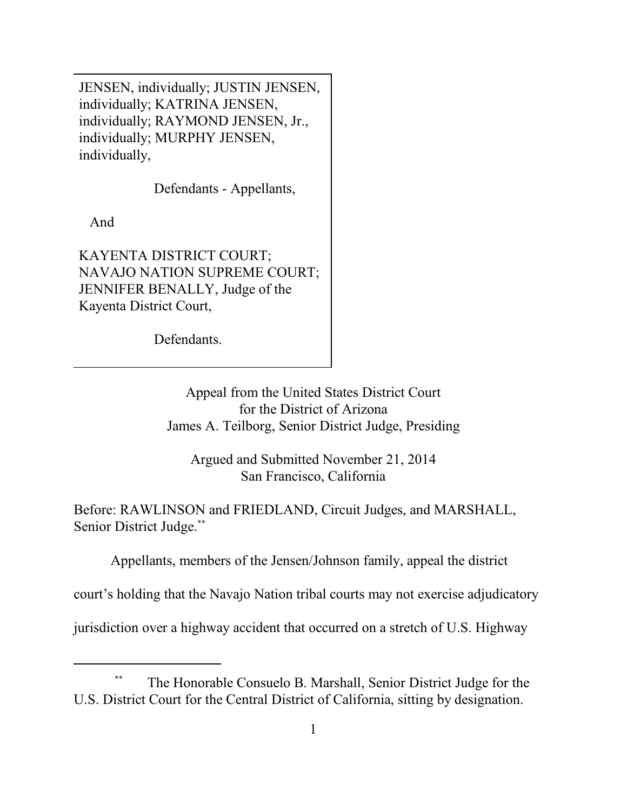JENSEN, individually; JUSTIN JENSEN, individually; KATRINA JENSEN, individually; RAYMOND JENSEN, Jr., individually; MURPHY JENSEN, individually,

Defendants - Appellants,

And

KAYENTA DISTRICT COURT; NAVAJO NATION SUPREME COURT; JENNIFER BENALLY, Judge of the Kayenta District Court,

Defendants.

Appeal from the United States District Court for the District of Arizona James A. Teilborg, Senior District Judge, Presiding

Argued and Submitted November 21, 2014 San Francisco, California

Before: RAWLINSON and FRIEDLAND, Circuit Judges, and MARSHALL, Senior District Judge.\*\*

Appellants, members of the Jensen/Johnson family, appeal the district

court's holding that the Navajo Nation tribal courts may not exercise adjudicatory

jurisdiction over a highway accident that occurred on a stretch of U.S. Highway

<sup>\*\*</sup> The Honorable Consuelo B. Marshall, Senior District Judge for the U.S. District Court for the Central District of California, sitting by designation.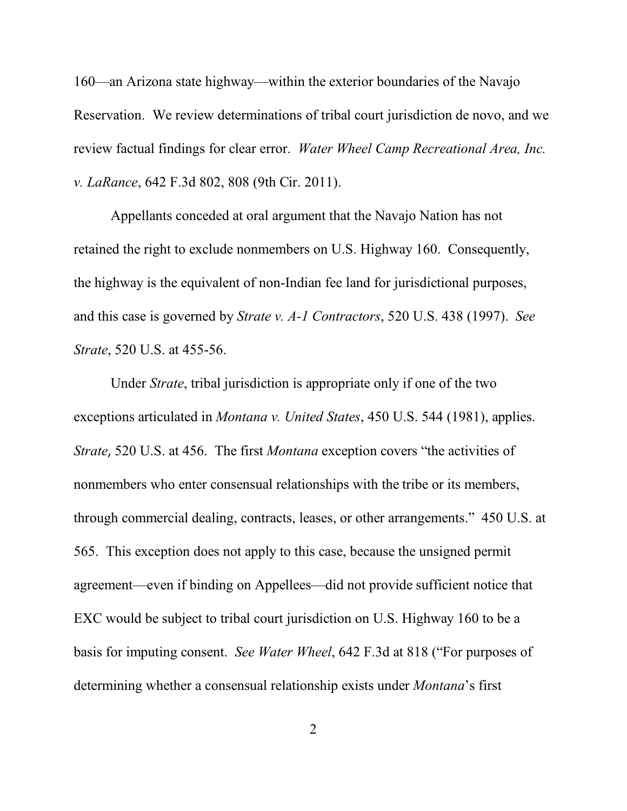160—an Arizona state highway—within the exterior boundaries of the Navajo Reservation. We review determinations of tribal court jurisdiction de novo, and we review factual findings for clear error. *Water Wheel Camp Recreational Area, Inc. v. LaRance*, 642 F.3d 802, 808 (9th Cir. 2011).

Appellants conceded at oral argument that the Navajo Nation has not retained the right to exclude nonmembers on U.S. Highway 160. Consequently, the highway is the equivalent of non-Indian fee land for jurisdictional purposes, and this case is governed by *Strate v. A-1 Contractors*, 520 U.S. 438 (1997). *See Strate*, 520 U.S. at 455-56.

Under *Strate*, tribal jurisdiction is appropriate only if one of the two exceptions articulated in *Montana v. United States*, 450 U.S. 544 (1981), applies. *Strate*, 520 U.S. at 456. The first *Montana* exception covers "the activities of nonmembers who enter consensual relationships with the tribe or its members, through commercial dealing, contracts, leases, or other arrangements." 450 U.S. at 565. This exception does not apply to this case, because the unsigned permit agreement—even if binding on Appellees—did not provide sufficient notice that EXC would be subject to tribal court jurisdiction on U.S. Highway 160 to be a basis for imputing consent. *See Water Wheel*, 642 F.3d at 818 ("For purposes of determining whether a consensual relationship exists under *Montana*'s first